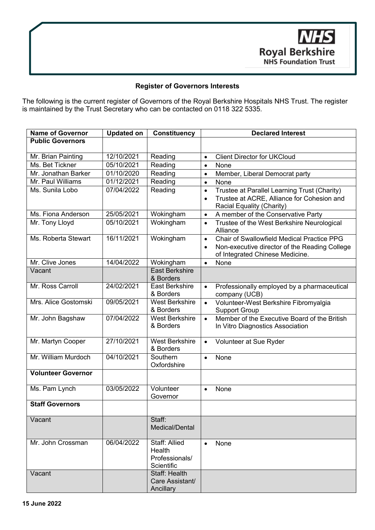

## **Register of Governors Interests**

The following is the current register of Governors of the Royal Berkshire Hospitals NHS Trust. The register is maintained by the Trust Secretary who can be contacted on 0118 322 5335.

| <b>Name of Governor</b>               | <b>Updated on</b> | <b>Constituency</b>                                     | <b>Declared Interest</b>                                                                                                                                 |
|---------------------------------------|-------------------|---------------------------------------------------------|----------------------------------------------------------------------------------------------------------------------------------------------------------|
| <b>Public Governors</b>               |                   |                                                         |                                                                                                                                                          |
|                                       | 12/10/2021        | Reading                                                 | <b>Client Director for UKCloud</b>                                                                                                                       |
| Mr. Brian Painting<br>Ms. Bet Tickner | 05/10/2021        | Reading                                                 | $\bullet$<br>None                                                                                                                                        |
| Mr. Jonathan Barker                   | 01/10/2020        | Reading                                                 | $\bullet$                                                                                                                                                |
| Mr. Paul Williams                     | 01/12/2021        | Reading                                                 | Member, Liberal Democrat party<br>$\bullet$<br>None                                                                                                      |
| Ms. Sunila Lobo                       | 07/04/2022        | Reading                                                 | $\bullet$                                                                                                                                                |
|                                       |                   |                                                         | Trustee at Parallel Learning Trust (Charity)<br>$\bullet$<br>Trustee at ACRE, Alliance for Cohesion and<br>$\bullet$<br>Racial Equality (Charity)        |
| Ms. Fiona Anderson                    | 25/05/2021        | Wokingham                                               | A member of the Conservative Party<br>$\bullet$                                                                                                          |
| Mr. Tony Lloyd                        | 05/10/2021        | Wokingham                                               | Trustee of the West Berkshire Neurological<br>$\bullet$<br>Alliance                                                                                      |
| Ms. Roberta Stewart                   | 16/11/2021        | Wokingham                                               | Chair of Swallowfield Medical Practice PPG<br>$\bullet$<br>Non-executive director of the Reading College<br>$\bullet$<br>of Integrated Chinese Medicine. |
| Mr. Clive Jones                       | 14/04/2022        | Wokingham                                               | None<br>$\bullet$                                                                                                                                        |
| Vacant                                |                   | <b>East Berkshire</b><br>& Borders                      |                                                                                                                                                          |
| Mr. Ross Carroll                      | 24/02/2021        | <b>East Berkshire</b><br>& Borders                      | Professionally employed by a pharmaceutical<br>$\bullet$<br>company (UCB)                                                                                |
| Mrs. Alice Gostomski                  | 09/05/2021        | <b>West Berkshire</b><br>& Borders                      | Volunteer-West Berkshire Fibromyalgia<br>$\bullet$<br><b>Support Group</b>                                                                               |
| Mr. John Bagshaw                      | 07/04/2022        | <b>West Berkshire</b><br>& Borders                      | Member of the Executive Board of the British<br>$\bullet$<br>In Vitro Diagnostics Association                                                            |
| Mr. Martyn Cooper                     | 27/10/2021        | <b>West Berkshire</b><br>& Borders                      | Volunteer at Sue Ryder<br>$\bullet$                                                                                                                      |
| Mr. William Murdoch                   | 04/10/2021        | Southern<br>Oxfordshire                                 | None<br>$\bullet$                                                                                                                                        |
| <b>Volunteer Governor</b>             |                   |                                                         |                                                                                                                                                          |
| Ms. Pam Lynch                         | 03/05/2022        | Volunteer<br>Governor                                   | None<br>$\bullet$                                                                                                                                        |
| <b>Staff Governors</b>                |                   |                                                         |                                                                                                                                                          |
| Vacant                                |                   | Staff:<br>Medical/Dental                                |                                                                                                                                                          |
| Mr. John Crossman                     | 06/04/2022        | Staff: Allied<br>Health<br>Professionals/<br>Scientific | None<br>$\bullet$                                                                                                                                        |
| Vacant                                |                   | Staff: Health<br>Care Assistant/<br>Ancillary           |                                                                                                                                                          |